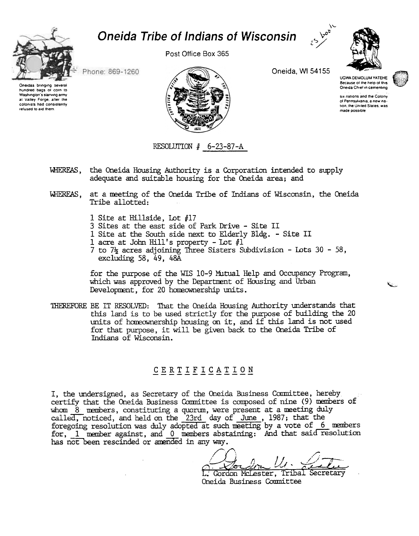

# **Oneida Tribe of Indians of Wisconsin**

Post Office Box 365



Phone: 869-1260

Oneidas bringing several hundred bags of corn to Washington's starving army at Valley Forge, after the colonists had consistently refused to aid them.



Oneida, WI 54155

**UGWA DEMOLUM YATEHE** Because of the help of this Oneida Chief in cementing



six nations and the Colony of Pennsylvania, a new nation, the United States, was made possible

#### RESOLUTION  $#$  6-23-87-A

- WHEREAS, the Oneida Housing Authority is a Corporation intended to supply adequate and suitable housing for the Oneida area; and
- at a meeting of the Oneida Tribe of Indians of Wisconsin, the Oneida WHEREAS. Tribe allotted:
	- 1 Site at Hillside, Lot #17
	- 3 Sites at the east side of Park Drive Site II
	- 1 Site at the South side next to Elderly Bldg. Site II
	- 1 acre at John Hill's property Lot  $#1$
	- 7 to 7<sup> $\frac{1}{2}$ </sup> acres adjoining Three Sisters Subdivision Lots 30 58, excluding 58,  $49$ ,  $48\overline{A}$

for the purpose of the WIS 10-9 Mitual Help and Occupancy Program, which was approved by the Department of Housing and Urban Development, for 20 homeownership units.

THEREFORE BE IT RESOLVED: That the Oneida Housing Authority understands that this land is to be used strictly for the purpose of building the 20 units of homeownership housing on it, and if this land is not used for that purpose, it will be given back to the Oneida Tribe of Indians of Wisconsin.

### CERTIFICATION

I, the undersigned, as Secretary of the Oneida Business Committee, hereby certify that the Oneida Business Committee is composed of nine (9) members of whom 8 members, constituting a quorum, were present at a meeting duly called, noticed, and held on the 23rd day of June, 1987; that the<br>foregoing resolution was duly adopted at such meeting by a vote of 6 members for, 1 member against, and 0 members abstaining: And that said resolution has not been rescinded or amended in any way.

L. Gordon McLester, Tribal Secretary Oneida Business Committee